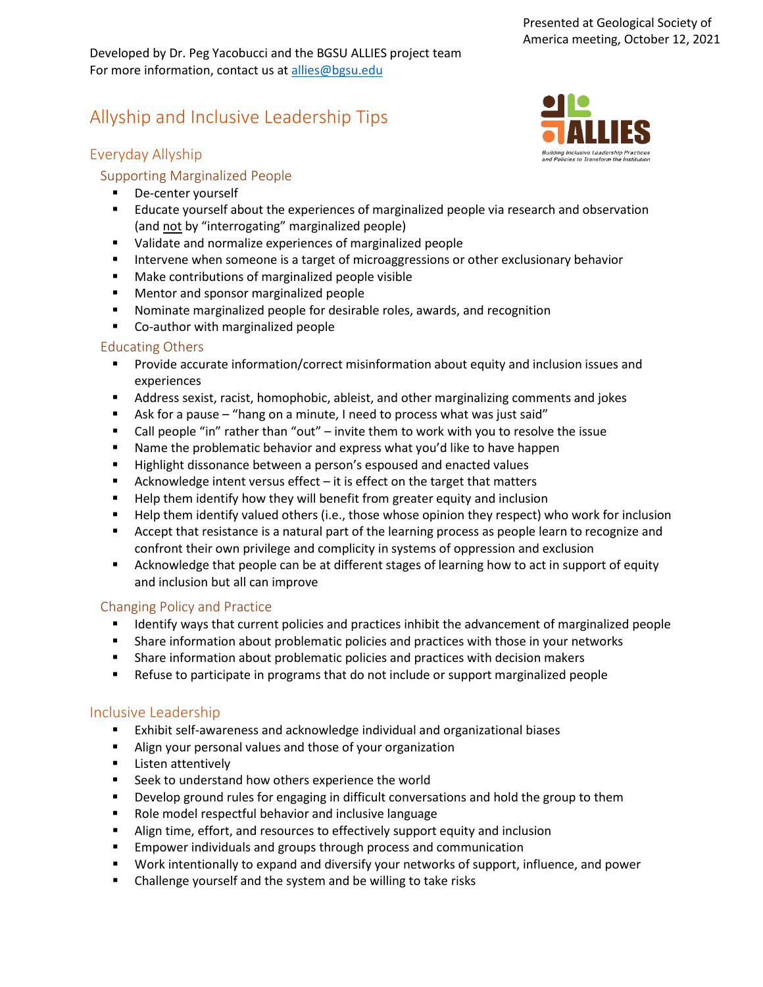Developed by Dr. Peg Yacobucci and the BGSU ALLIES project team For more information, contact us at [allies@bgsu.edu](mailto:allies@bgsu.edu) 

# Allyship and Inclusive Leadership Tips

## Everyday Allyship

## Supporting Marginalized People

- **De-center yourself**
- Educate yourself about the experiences of marginalized people via research and observation (and not by "interrogating" marginalized people)
- Validate and normalize experiences of marginalized people
- **Intervene when someone is a target of microaggressions or other exclusionary behavior**
- **Make contributions of marginalized people visible**
- **Mentor and sponsor marginalized people**
- Nominate marginalized people for desirable roles, awards, and recognition
- **EX Co-author with marginalized people**

#### Educating Others

- **Provide accurate information/correct misinformation about equity and inclusion issues and** experiences
- Address sexist, racist, homophobic, ableist, and other marginalizing comments and jokes
- Ask for a pause "hang on a minute, I need to process what was just said"
- Call people "in" rather than "out" invite them to work with you to resolve the issue
- **Name the problematic behavior and express what you'd like to have happen**
- Highlight dissonance between a person's espoused and enacted values
- Acknowledge intent versus effect  $-$  it is effect on the target that matters
- **Help them identify how they will benefit from greater equity and inclusion**
- Help them identify valued others (i.e., those whose opinion they respect) who work for inclusion
- **EXECT** Accept that resistance is a natural part of the learning process as people learn to recognize and confront their own privilege and complicity in systems of oppression and exclusion
- Acknowledge that people can be at different stages of learning how to act in support of equity and inclusion but all can improve

#### Changing Policy and Practice

- **If all identify ways that current policies and practices inhibit the advancement of marginalized people**
- **Share information about problematic policies and practices with those in your networks**
- **Share information about problematic policies and practices with decision makers**
- Refuse to participate in programs that do not include or support marginalized people

#### Inclusive Leadership

- Exhibit self-awareness and acknowledge individual and organizational biases
- Align your personal values and those of your organization
- **E** Listen attentively
- **EXEC** Seek to understand how others experience the world
- **Develop ground rules for engaging in difficult conversations and hold the group to them**
- Role model respectful behavior and inclusive language
- Align time, effort, and resources to effectively support equity and inclusion
- **Empower individuals and groups through process and communication**
- Work intentionally to expand and diversify your networks of support, influence, and power
- Challenge yourself and the system and be willing to take risks

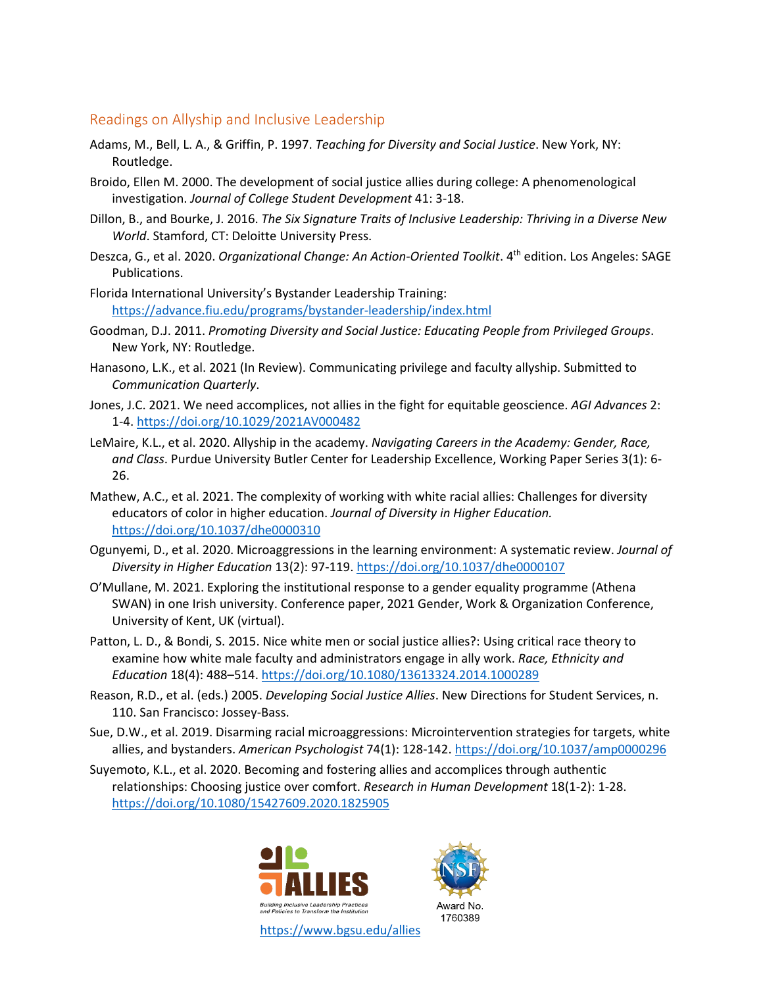#### Readings on Allyship and Inclusive Leadership

- Adams, M., Bell, L. A., & Griffin, P. 1997. *Teaching for Diversity and Social Justice*. New York, NY: Routledge.
- Broido, Ellen M. 2000. The development of social justice allies during college: A phenomenological investigation. *Journal of College Student Development* 41: 3-18.
- Dillon, B., and Bourke, J. 2016. *The Six Signature Traits of Inclusive Leadership: Thriving in a Diverse New World*. Stamford, CT: Deloitte University Press.
- Deszca, G., et al. 2020. *Organizational Change: An Action-Oriented Toolkit*. 4th edition. Los Angeles: SAGE Publications.
- Florida International University's Bystander Leadership Training: <https://advance.fiu.edu/programs/bystander-leadership/index.html>
- Goodman, D.J. 2011. *Promoting Diversity and Social Justice: Educating People from Privileged Groups*. New York, NY: Routledge.
- Hanasono, L.K., et al. 2021 (In Review). Communicating privilege and faculty allyship. Submitted to *Communication Quarterly*.
- Jones, J.C. 2021. We need accomplices, not allies in the fight for equitable geoscience. *AGI Advances* 2: 1-4.<https://doi.org/10.1029/2021AV000482>
- LeMaire, K.L., et al. 2020. Allyship in the academy. *Navigating Careers in the Academy: Gender, Race, and Class*. Purdue University Butler Center for Leadership Excellence, Working Paper Series 3(1): 6- 26.
- Mathew, A.C., et al. 2021. The complexity of working with white racial allies: Challenges for diversity educators of color in higher education. *Journal of Diversity in Higher Education.* [https://doi.org/10.1037/dhe0000310](https://doi.apa.org/doi/10.1037/dhe0000310)
- Ogunyemi, D., et al. 2020. Microaggressions in the learning environment: A systematic review. *Journal of Diversity in Higher Education* 13(2): 97-119.<https://doi.org/10.1037/dhe0000107>
- O'Mullane, M. 2021. Exploring the institutional response to a gender equality programme (Athena SWAN) in one Irish university. Conference paper, 2021 Gender, Work & Organization Conference, University of Kent, UK (virtual).
- Patton, L. D., & Bondi, S. 2015. Nice white men or social justice allies?: Using critical race theory to examine how white male faculty and administrators engage in ally work. *Race, Ethnicity and Education* 18(4): 488–514.<https://doi.org/10.1080/13613324.2014.1000289>
- Reason, R.D., et al. (eds.) 2005. *Developing Social Justice Allies*. New Directions for Student Services, n. 110. San Francisco: Jossey-Bass.
- Sue, D.W., et al. 2019. Disarming racial microaggressions: Microintervention strategies for targets, white allies, and bystanders. *American Psychologist* 74(1): 128-142.<https://doi.org/10.1037/amp0000296>
- Suyemoto, K.L., et al. 2020. Becoming and fostering allies and accomplices through authentic relationships: Choosing justice over comfort. *Research in Human Development* 18(1-2): 1-28. <https://doi.org/10.1080/15427609.2020.1825905>



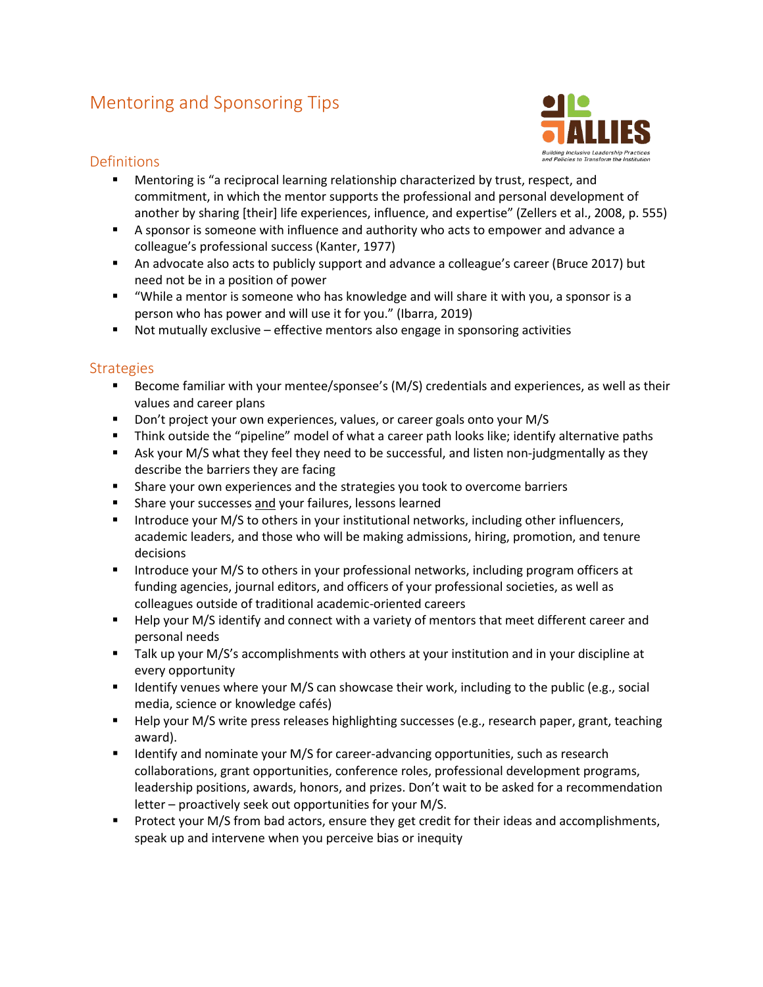# Mentoring and Sponsoring Tips



## **Definitions**

- **Mentoring is "a reciprocal learning relationship characterized by trust, respect, and** commitment, in which the mentor supports the professional and personal development of another by sharing [their] life experiences, influence, and expertise" (Zellers et al., 2008, p. 555)
- A sponsor is someone with influence and authority who acts to empower and advance a colleague's professional success (Kanter, 1977)
- An advocate also acts to publicly support and advance a colleague's career (Bruce 2017) but need not be in a position of power
- "While a mentor is someone who has knowledge and will share it with you, a sponsor is a person who has power and will use it for you." (Ibarra, 2019)
- Not mutually exclusive effective mentors also engage in sponsoring activities

## **Strategies**

- Become familiar with your mentee/sponsee's (M/S) credentials and experiences, as well as their values and career plans
- Don't project your own experiences, values, or career goals onto your M/S
- Think outside the "pipeline" model of what a career path looks like; identify alternative paths
- **Ask your M/S what they feel they need to be successful, and listen non-judgmentally as they** describe the barriers they are facing
- **Share your own experiences and the strategies you took to overcome barriers**
- **Share your successes and your failures, lessons learned**
- **Introduce your M/S to others in your institutional networks, including other influencers,** academic leaders, and those who will be making admissions, hiring, promotion, and tenure decisions
- Introduce your M/S to others in your professional networks, including program officers at funding agencies, journal editors, and officers of your professional societies, as well as colleagues outside of traditional academic-oriented careers
- **Help your M/S identify and connect with a variety of mentors that meet different career and** personal needs
- Talk up your M/S's accomplishments with others at your institution and in your discipline at every opportunity
- **If all identify venues where your M/S can showcase their work, including to the public (e.g., social** media, science or knowledge cafés)
- **Help your M/S write press releases highlighting successes (e.g., research paper, grant, teaching** award).
- **If Immulficant** Identify and nominate your M/S for career-advancing opportunities, such as research collaborations, grant opportunities, conference roles, professional development programs, leadership positions, awards, honors, and prizes. Don't wait to be asked for a recommendation letter – proactively seek out opportunities for your M/S.
- **Protect your M/S from bad actors, ensure they get credit for their ideas and accomplishments,** speak up and intervene when you perceive bias or inequity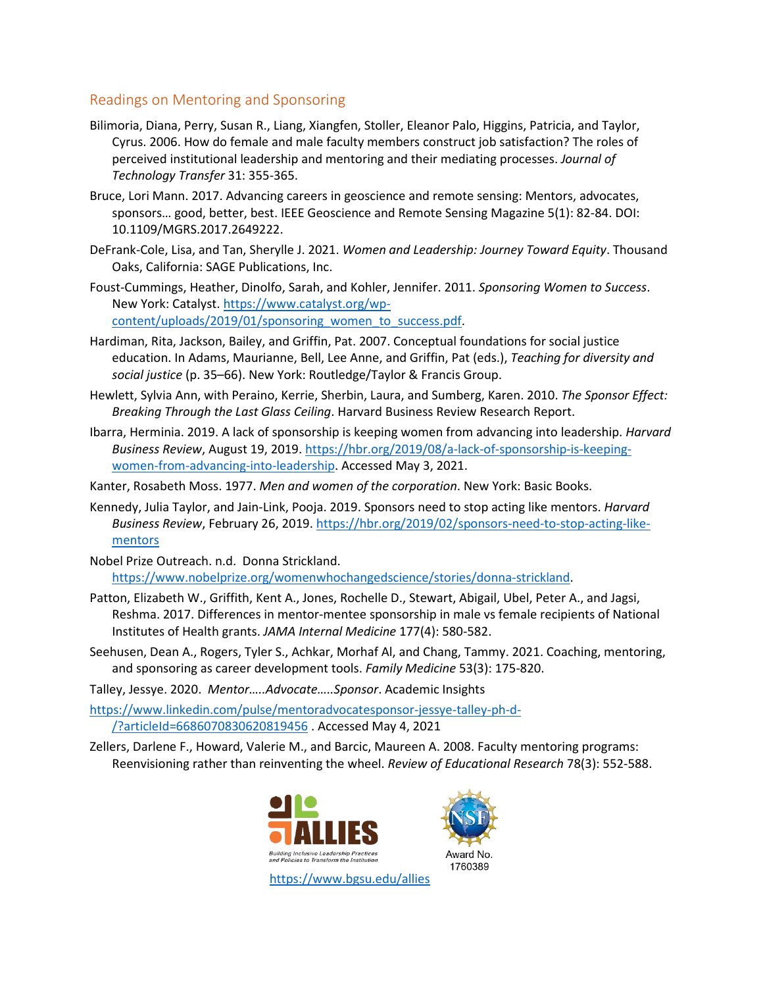## Readings on Mentoring and Sponsoring

- Bilimoria, Diana, Perry, Susan R., Liang, Xiangfen, Stoller, Eleanor Palo, Higgins, Patricia, and Taylor, Cyrus. 2006. How do female and male faculty members construct job satisfaction? The roles of perceived institutional leadership and mentoring and their mediating processes. *Journal of Technology Transfer* 31: 355-365.
- Bruce, Lori Mann. 2017. Advancing careers in geoscience and remote sensing: Mentors, advocates, sponsors… good, better, best. IEEE Geoscience and Remote Sensing Magazine 5(1): 82-84. DOI: 10.1109/MGRS.2017.2649222.
- DeFrank-Cole, Lisa, and Tan, Sherylle J. 2021. *Women and Leadership: Journey Toward Equity*. Thousand Oaks, California: SAGE Publications, Inc.
- Foust-Cummings, Heather, Dinolfo, Sarah, and Kohler, Jennifer. 2011. *Sponsoring Women to Success*. New York: Catalyst. [https://www.catalyst.org/wp](https://www.catalyst.org/wp-content/uploads/2019/01/sponsoring_women_to_success.pdf)[content/uploads/2019/01/sponsoring\\_women\\_to\\_success.pdf.](https://www.catalyst.org/wp-content/uploads/2019/01/sponsoring_women_to_success.pdf)
- Hardiman, Rita, Jackson, Bailey, and Griffin, Pat. 2007. Conceptual foundations for social justice education. In Adams, Maurianne, Bell, Lee Anne, and Griffin, Pat (eds.), *Teaching for diversity and social justice* (p. 35–66). New York: Routledge/Taylor & Francis Group.
- Hewlett, Sylvia Ann, with Peraino, Kerrie, Sherbin, Laura, and Sumberg, Karen. 2010. *The Sponsor Effect: Breaking Through the Last Glass Ceiling*. Harvard Business Review Research Report.
- Ibarra, Herminia. 2019. A lack of sponsorship is keeping women from advancing into leadership. *Harvard Business Review*, August 19, 2019. [https://hbr.org/2019/08/a-lack-of-sponsorship-is-keeping](https://hbr.org/2019/08/a-lack-of-sponsorship-is-keeping-women-from-advancing-into-leadership)[women-from-advancing-into-leadership.](https://hbr.org/2019/08/a-lack-of-sponsorship-is-keeping-women-from-advancing-into-leadership) Accessed May 3, 2021.
- Kanter, Rosabeth Moss. 1977. *Men and women of the corporation*. New York: Basic Books.
- Kennedy, Julia Taylor, and Jain-Link, Pooja. 2019. Sponsors need to stop acting like mentors. *Harvard Business Review*, February 26, 2019. [https://hbr.org/2019/02/sponsors-need-to-stop-acting-like](https://hbr.org/2019/02/sponsors-need-to-stop-acting-like-mentors)[mentors](https://hbr.org/2019/02/sponsors-need-to-stop-acting-like-mentors)
- Nobel Prize Outreach. n.d. Donna Strickland. [https://www.nobelprize.org/womenwhochangedscience/stories/donna-strickland.](https://www.nobelprize.org/womenwhochangedscience/stories/donna-strickland)
- Patton, Elizabeth W., Griffith, Kent A., Jones, Rochelle D., Stewart, Abigail, Ubel, Peter A., and Jagsi, Reshma. 2017. Differences in mentor-mentee sponsorship in male vs female recipients of National Institutes of Health grants. *JAMA Internal Medicine* 177(4): 580-582.
- Seehusen, Dean A., Rogers, Tyler S., Achkar, Morhaf Al, and Chang, Tammy. 2021. Coaching, mentoring, and sponsoring as career development tools. *Family Medicine* 53(3): 175-820.
- Talley, Jessye. 2020. *Mentor…..Advocate…..Sponsor*. Academic Insights

[https://www.linkedin.com/pulse/mentoradvocatesponsor-jessye-talley-ph-d-](https://www.linkedin.com/pulse/mentoradvocatesponsor-jessye-talley-ph-d-/?articleId=6686070830620819456) [/?articleId=6686070830620819456](https://www.linkedin.com/pulse/mentoradvocatesponsor-jessye-talley-ph-d-/?articleId=6686070830620819456) . Accessed May 4, 2021

Zellers, Darlene F., Howard, Valerie M., and Barcic, Maureen A. 2008. Faculty mentoring programs: Reenvisioning rather than reinventing the wheel. *Review of Educational Research* 78(3): 552-588.